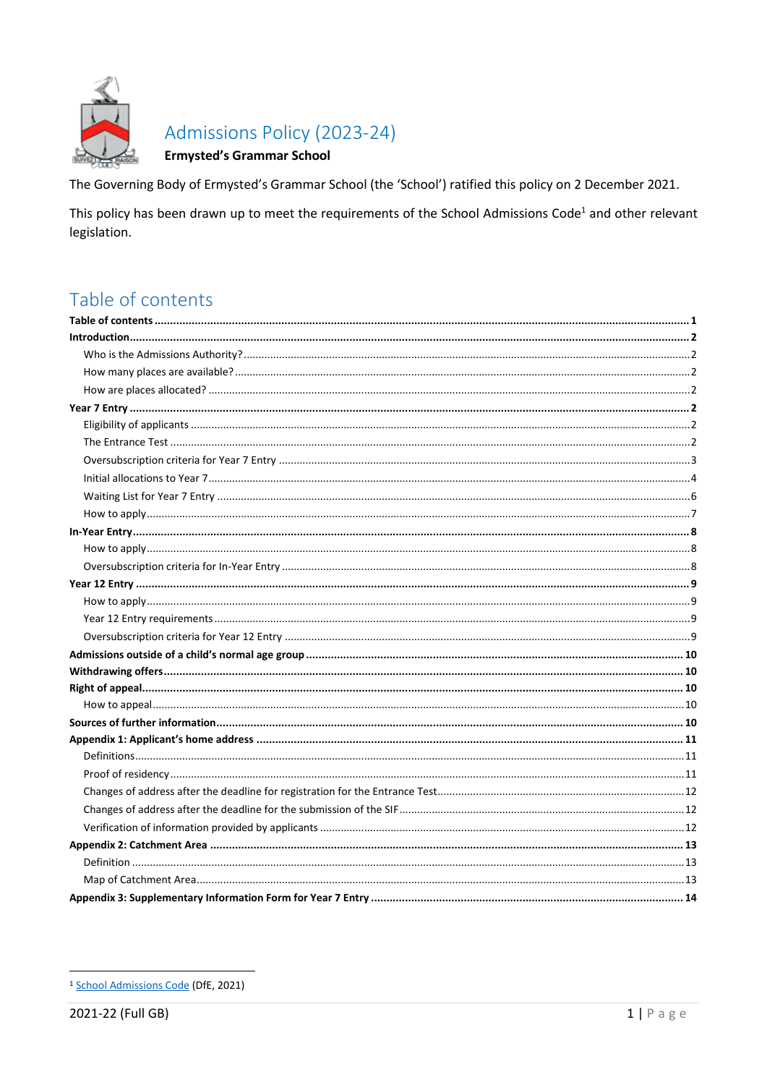

# Admissions Policy (2023-24)

### **Ermysted's Grammar School**

The Governing Body of Ermysted's Grammar School (the 'School') ratified this policy on 2 December 2021.

This policy has been drawn up to meet the requirements of the School Admissions Code<sup>1</sup> and other relevant legislation.

# <span id="page-0-0"></span>Table of contents

<sup>&</sup>lt;sup>1</sup> School Admissions Code (DfE, 2021)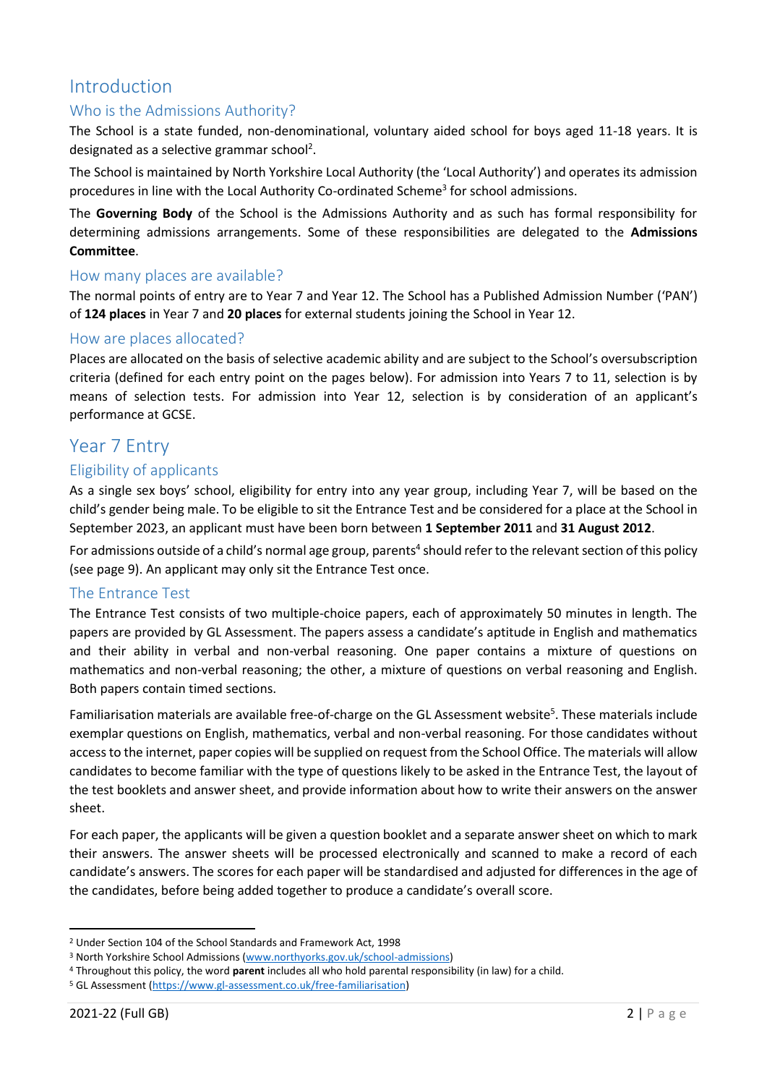# <span id="page-1-0"></span>Introduction

## <span id="page-1-1"></span>Who is the Admissions Authority?

The School is a state funded, non-denominational, voluntary aided school for boys aged 11-18 years. It is designated as a selective grammar school<sup>2</sup>.

The School is maintained by North Yorkshire Local Authority (the 'Local Authority') and operates its admission procedures in line with the Local Authority Co-ordinated Scheme<sup>3</sup> for school admissions.

The **Governing Body** of the School is the Admissions Authority and as such has formal responsibility for determining admissions arrangements. Some of these responsibilities are delegated to the **Admissions Committee**.

### <span id="page-1-2"></span>How many places are available?

The normal points of entry are to Year 7 and Year 12. The School has a Published Admission Number ('PAN') of **124 places** in Year 7 and **20 places** for external students joining the School in Year 12.

### <span id="page-1-3"></span>How are places allocated?

Places are allocated on the basis of selective academic ability and are subject to the School's oversubscription criteria (defined for each entry point on the pages below). For admission into Years 7 to 11, selection is by means of selection tests. For admission into Year 12, selection is by consideration of an applicant's performance at GCSE.

# <span id="page-1-4"></span>Year 7 Entry

### <span id="page-1-5"></span>Eligibility of applicants

As a single sex boys' school, eligibility for entry into any year group, including Year 7, will be based on the child's gender being male. To be eligible to sit the Entrance Test and be considered for a place at the School in September 2023, an applicant must have been born between **1 September 2011** and **31 August 2012**.

For admissions outside of a child's normal age group, parents<sup>4</sup> should refer to the relevant section of this policy (see page 9). An applicant may only sit the Entrance Test once.

### <span id="page-1-6"></span>The Entrance Test

The Entrance Test consists of two multiple-choice papers, each of approximately 50 minutes in length. The papers are provided by GL Assessment. The papers assess a candidate's aptitude in English and mathematics and their ability in verbal and non-verbal reasoning. One paper contains a mixture of questions on mathematics and non-verbal reasoning; the other, a mixture of questions on verbal reasoning and English. Both papers contain timed sections.

Familiarisation materials are available free-of-charge on the GL Assessment website<sup>5</sup>. These materials include exemplar questions on English, mathematics, verbal and non-verbal reasoning. For those candidates without access to the internet, paper copies will be supplied on request from the School Office. The materials will allow candidates to become familiar with the type of questions likely to be asked in the Entrance Test, the layout of the test booklets and answer sheet, and provide information about how to write their answers on the answer sheet.

For each paper, the applicants will be given a question booklet and a separate answer sheet on which to mark their answers. The answer sheets will be processed electronically and scanned to make a record of each candidate's answers. The scores for each paper will be standardised and adjusted for differences in the age of the candidates, before being added together to produce a candidate's overall score.

<sup>2</sup> Under Section 104 of the School Standards and Framework Act, 1998

<sup>3</sup> North Yorkshire School Admissions [\(www.northyorks.gov.uk/school-admissions\)](http://www.northyorks.gov.uk/school-admissions)

<sup>4</sup> Throughout this policy, the word **parent** includes all who hold parental responsibility (in law) for a child.

<sup>5</sup> GL Assessment [\(https://www.gl-assessment.co.uk/free-familiarisation\)](https://www.gl-assessment.co.uk/free-familiarisation)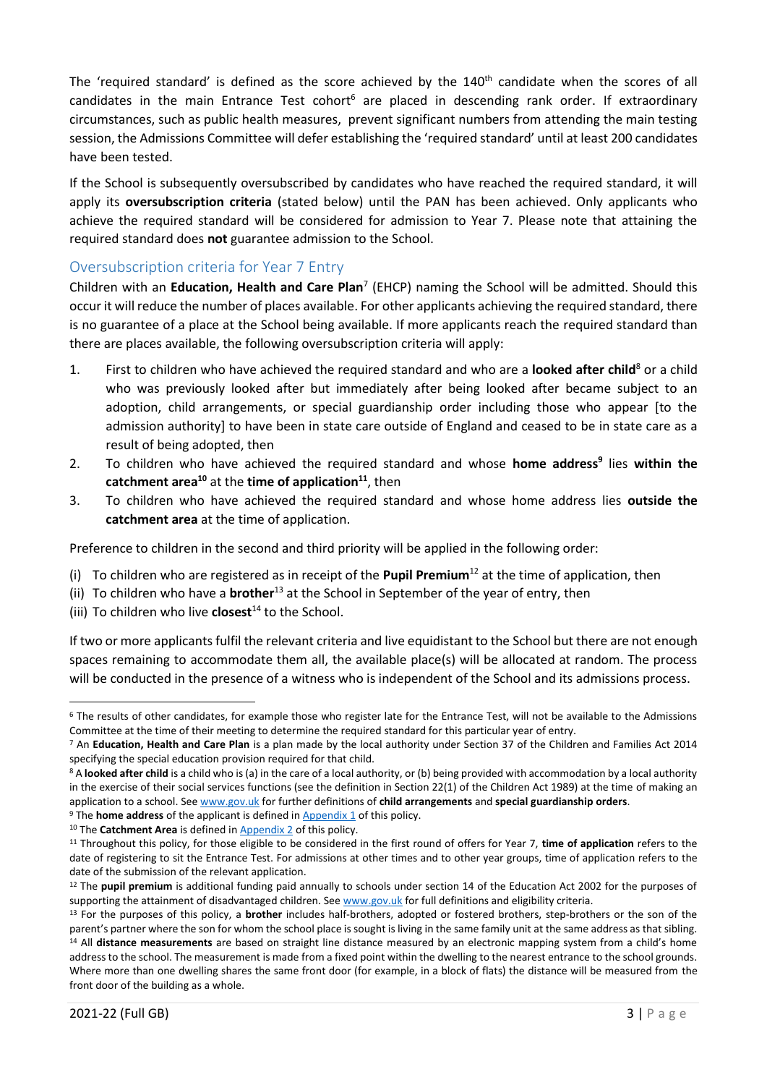The 'required standard' is defined as the score achieved by the 140<sup>th</sup> candidate when the scores of all candidates in the main Entrance Test cohort<sup>6</sup> are placed in descending rank order. If extraordinary circumstances, such as public health measures, prevent significant numbers from attending the main testing session, the Admissions Committee will defer establishing the 'required standard' until at least 200 candidates have been tested.

If the School is subsequently oversubscribed by candidates who have reached the required standard, it will apply its **oversubscription criteria** (stated below) until the PAN has been achieved. Only applicants who achieve the required standard will be considered for admission to Year 7. Please note that attaining the required standard does **not** guarantee admission to the School.

## <span id="page-2-0"></span>Oversubscription criteria for Year 7 Entry

Children with an **Education, Health and Care Plan**<sup>7</sup> (EHCP) naming the School will be admitted. Should this occur it will reduce the number of places available. For other applicants achieving the required standard, there is no guarantee of a place at the School being available. If more applicants reach the required standard than there are places available, the following oversubscription criteria will apply:

- 1. First to children who have achieved the required standard and who are a **looked after child**<sup>8</sup> or a child who was previously looked after but immediately after being looked after became subject to an adoption, child arrangements, or special guardianship order including those who appear [to the admission authority] to have been in state care outside of England and ceased to be in state care as a result of being adopted, then
- 2. To children who have achieved the required standard and whose **home address<sup>9</sup>** lies **within the catchment area<sup>10</sup>** at the **time of application<sup>11</sup>**, then
- 3. To children who have achieved the required standard and whose home address lies **outside the catchment area** at the time of application.

Preference to children in the second and third priority will be applied in the following order:

- (i) To children who are registered as in receipt of the **Pupil Premium**<sup>12</sup> at the time of application, then
- (ii) To children who have a **brother**<sup>13</sup> at the School in September of the year of entry, then
- (iii) To children who live **closest**<sup>14</sup> to the School.

If two or more applicants fulfil the relevant criteria and live equidistant to the School but there are not enough spaces remaining to accommodate them all, the available place(s) will be allocated at random. The process will be conducted in the presence of a witness who is independent of the School and its admissions process.

 $6$  The results of other candidates, for example those who register late for the Entrance Test, will not be available to the Admissions Committee at the time of their meeting to determine the required standard for this particular year of entry.

<sup>7</sup> An **Education, Health and Care Plan** is a plan made by the local authority under Section 37 of the Children and Families Act 2014 specifying the special education provision required for that child.

<sup>&</sup>lt;sup>8</sup> A looked after child is a child who is (a) in the care of a local authority, or (b) being provided with accommodation by a local authority in the exercise of their social services functions (see the definition in Section 22(1) of the Children Act 1989) at the time of making an application to a school. Se[e www.gov.uk](https://www.gov.uk/government/publications/school-admissions-code--2) for further definitions of **child arrangements** and **special guardianship orders**.

<sup>&</sup>lt;sup>9</sup> The **home address** of the applicant is defined in **Appendix 1** of this policy.

<sup>&</sup>lt;sup>10</sup> The **Catchment Area** is defined in **Appendix 2** of this policy.

<sup>11</sup> Throughout this policy, for those eligible to be considered in the first round of offers for Year 7, **time of application** refers to the date of registering to sit the Entrance Test. For admissions at other times and to other year groups, time of application refers to the date of the submission of the relevant application.

<sup>12</sup> The **pupil premium** is additional funding paid annually to schools under section 14 of the Education Act 2002 for the purposes of supporting the attainment of disadvantaged children. Se[e www.gov.uk](http://www.gov.uk/) for full definitions and eligibility criteria.

<sup>13</sup> For the purposes of this policy, a **brother** includes half-brothers, adopted or fostered brothers, step-brothers or the son of the parent's partner where the son for whom the school place is sought is living in the same family unit at the same address as that sibling. <sup>14</sup> All **distance measurements** are based on straight line distance measured by an electronic mapping system from a child's home address to the school. The measurement is made from a fixed point within the dwelling to the nearest entrance to the school grounds. Where more than one dwelling shares the same front door (for example, in a block of flats) the distance will be measured from the front door of the building as a whole.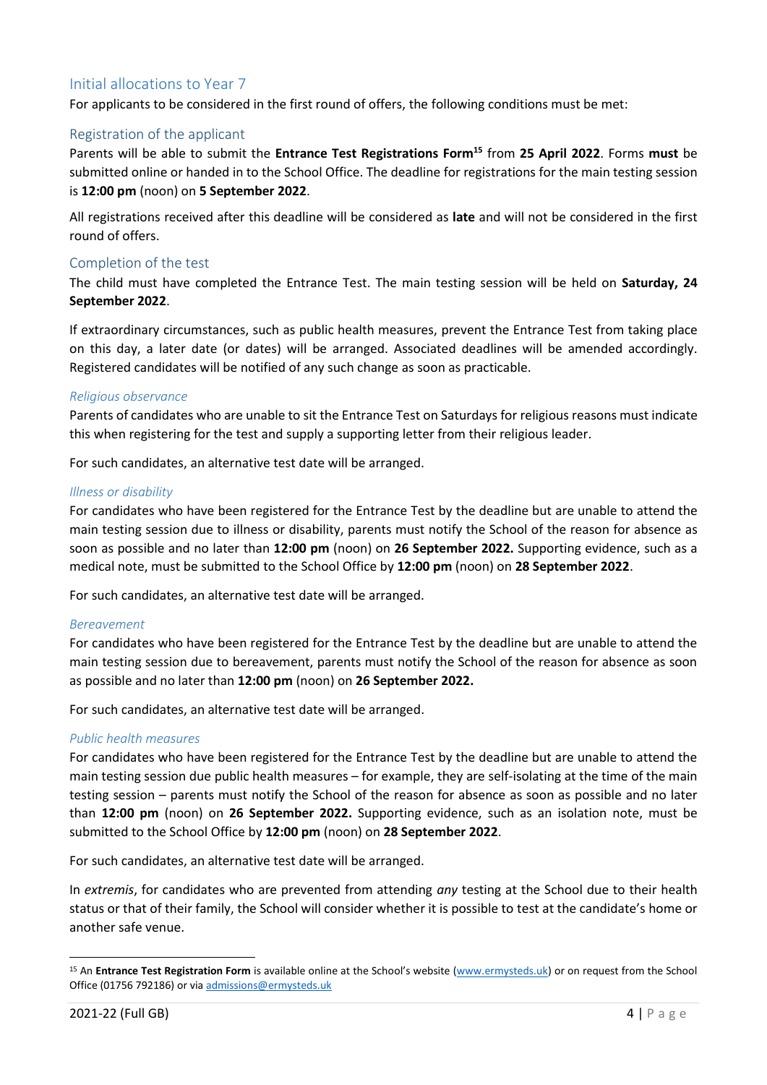## <span id="page-3-0"></span>Initial allocations to Year 7

For applicants to be considered in the first round of offers, the following conditions must be met:

#### Registration of the applicant

Parents will be able to submit the **Entrance Test Registrations Form<sup>15</sup>** from **25 April 2022**. Forms **must** be submitted online or handed in to the School Office. The deadline for registrations for the main testing session is **12:00 pm** (noon) on **5 September 2022**.

All registrations received after this deadline will be considered as **late** and will not be considered in the first round of offers.

#### Completion of the test

The child must have completed the Entrance Test. The main testing session will be held on **Saturday, 24 September 2022**.

If extraordinary circumstances, such as public health measures, prevent the Entrance Test from taking place on this day, a later date (or dates) will be arranged. Associated deadlines will be amended accordingly. Registered candidates will be notified of any such change as soon as practicable.

#### *Religious observance*

Parents of candidates who are unable to sit the Entrance Test on Saturdays for religious reasons must indicate this when registering for the test and supply a supporting letter from their religious leader.

For such candidates, an alternative test date will be arranged.

#### *Illness or disability*

For candidates who have been registered for the Entrance Test by the deadline but are unable to attend the main testing session due to illness or disability, parents must notify the School of the reason for absence as soon as possible and no later than **12:00 pm** (noon) on **26 September 2022.** Supporting evidence, such as a medical note, must be submitted to the School Office by **12:00 pm** (noon) on **28 September 2022**.

For such candidates, an alternative test date will be arranged.

#### *Bereavement*

For candidates who have been registered for the Entrance Test by the deadline but are unable to attend the main testing session due to bereavement, parents must notify the School of the reason for absence as soon as possible and no later than **12:00 pm** (noon) on **26 September 2022.** 

For such candidates, an alternative test date will be arranged.

#### *Public health measures*

For candidates who have been registered for the Entrance Test by the deadline but are unable to attend the main testing session due public health measures – for example, they are self-isolating at the time of the main testing session – parents must notify the School of the reason for absence as soon as possible and no later than **12:00 pm** (noon) on **26 September 2022.** Supporting evidence, such as an isolation note, must be submitted to the School Office by **12:00 pm** (noon) on **28 September 2022**.

For such candidates, an alternative test date will be arranged.

In *extremis*, for candidates who are prevented from attending *any* testing at the School due to their health status or that of their family, the School will consider whether it is possible to test at the candidate's home or another safe venue.

<sup>15</sup> An **Entrance Test Registration Form** is available online at the School's website [\(www.ermysteds.uk\)](http://www.ermysteds.uk/) or on request from the School Office (01756 792186) or via [admissions@ermysteds.uk](mailto:admissions@ermysteds.uk)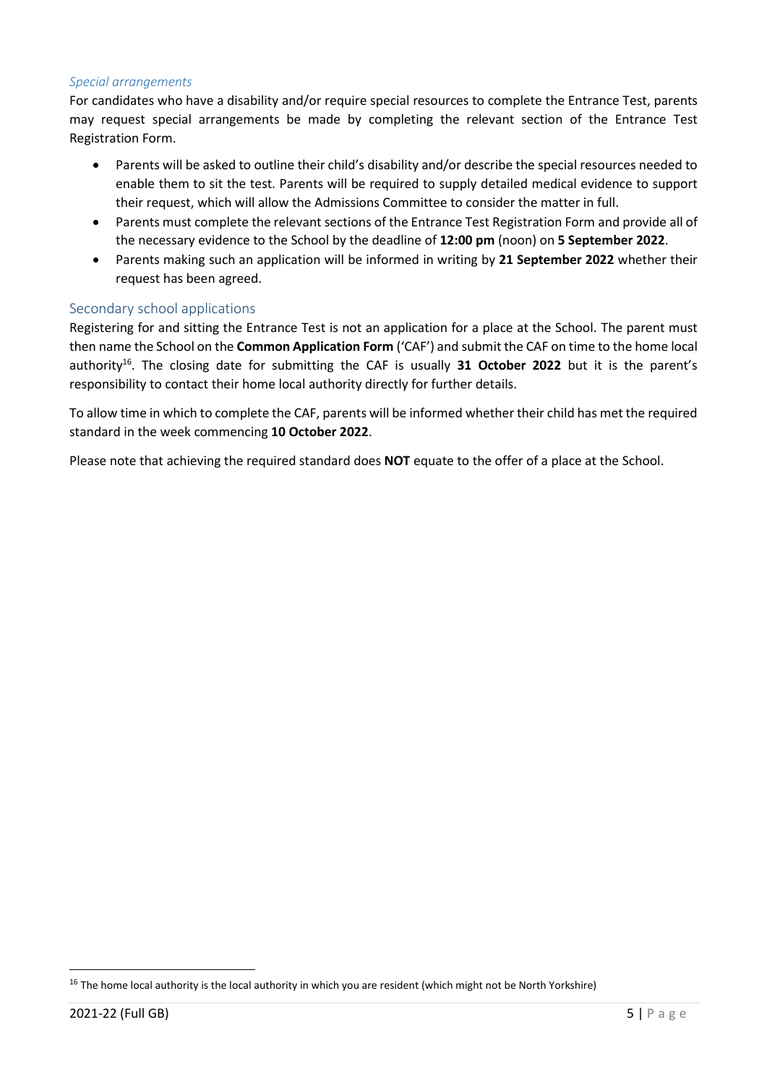#### *Special arrangements*

For candidates who have a disability and/or require special resources to complete the Entrance Test, parents may request special arrangements be made by completing the relevant section of the Entrance Test Registration Form.

- Parents will be asked to outline their child's disability and/or describe the special resources needed to enable them to sit the test. Parents will be required to supply detailed medical evidence to support their request, which will allow the Admissions Committee to consider the matter in full.
- Parents must complete the relevant sections of the Entrance Test Registration Form and provide all of the necessary evidence to the School by the deadline of **12:00 pm** (noon) on **5 September 2022**.
- Parents making such an application will be informed in writing by **21 September 2022** whether their request has been agreed.

### Secondary school applications

Registering for and sitting the Entrance Test is not an application for a place at the School. The parent must then name the School on the **Common Application Form** ('CAF') and submit the CAF on time to the home local authority<sup>16</sup>. The closing date for submitting the CAF is usually 31 October 2022 but it is the parent's responsibility to contact their home local authority directly for further details.

To allow time in which to complete the CAF, parents will be informed whether their child has met the required standard in the week commencing **10 October 2022**.

Please note that achieving the required standard does **NOT** equate to the offer of a place at the School.

<sup>&</sup>lt;sup>16</sup> The home local authority is the local authority in which you are resident (which might not be North Yorkshire)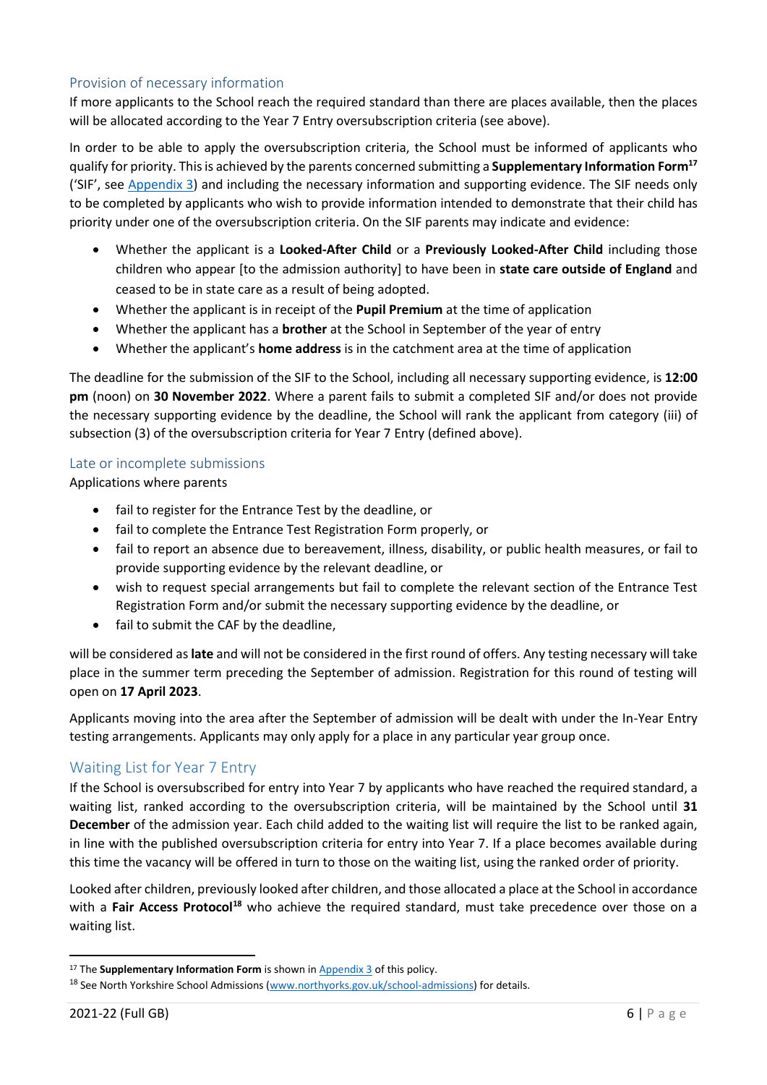### Provision of necessary information

If more applicants to the School reach the required standard than there are places available, then the places will be allocated according to the Year 7 Entry oversubscription criteria (see above).

In order to be able to apply the oversubscription criteria, the School must be informed of applicants who qualify for priority. This is achieved by the parents concerned submitting a **Supplementary Information Form<sup>17</sup>** ('SIF', see [Appendix 3\)](#page-13-0) and including the necessary information and supporting evidence. The SIF needs only to be completed by applicants who wish to provide information intended to demonstrate that their child has priority under one of the oversubscription criteria. On the SIF parents may indicate and evidence:

- Whether the applicant is a **Looked-After Child** or a **Previously Looked-After Child** including those children who appear [to the admission authority] to have been in **state care outside of England** and ceased to be in state care as a result of being adopted.
- Whether the applicant is in receipt of the **Pupil Premium** at the time of application
- Whether the applicant has a **brother** at the School in September of the year of entry
- Whether the applicant's **home address** is in the catchment area at the time of application

The deadline for the submission of the SIF to the School, including all necessary supporting evidence, is **12:00 pm** (noon) on **30 November 2022**. Where a parent fails to submit a completed SIF and/or does not provide the necessary supporting evidence by the deadline, the School will rank the applicant from category (iii) of subsection (3) of the oversubscription criteria for Year 7 Entry (defined above).

#### Late or incomplete submissions

Applications where parents

- fail to register for the Entrance Test by the deadline, or
- fail to complete the Entrance Test Registration Form properly, or
- fail to report an absence due to bereavement, illness, disability, or public health measures, or fail to provide supporting evidence by the relevant deadline, or
- wish to request special arrangements but fail to complete the relevant section of the Entrance Test Registration Form and/or submit the necessary supporting evidence by the deadline, or
- fail to submit the CAF by the deadline,

will be considered as **late** and will not be considered in the first round of offers. Any testing necessary will take place in the summer term preceding the September of admission. Registration for this round of testing will open on **17 April 2023**.

Applicants moving into the area after the September of admission will be dealt with under the In-Year Entry testing arrangements. Applicants may only apply for a place in any particular year group once.

## <span id="page-5-0"></span>Waiting List for Year 7 Entry

If the School is oversubscribed for entry into Year 7 by applicants who have reached the required standard, a waiting list, ranked according to the oversubscription criteria, will be maintained by the School until **31 December** of the admission year. Each child added to the waiting list will require the list to be ranked again, in line with the published oversubscription criteria for entry into Year 7. If a place becomes available during this time the vacancy will be offered in turn to those on the waiting list, using the ranked order of priority.

Looked after children, previously looked after children, and those allocated a place at the School in accordance with a **Fair Access Protocol<sup>18</sup>** who achieve the required standard, must take precedence over those on a waiting list.

<sup>&</sup>lt;sup>17</sup> The **Supplementary Information Form** is shown in **Appendix 3** of this policy.

<sup>&</sup>lt;sup>18</sup> See North Yorkshire School Admissions [\(www.northyorks.gov.uk/school-admissions\)](http://www.northyorks.gov.uk/school-admissions) for details.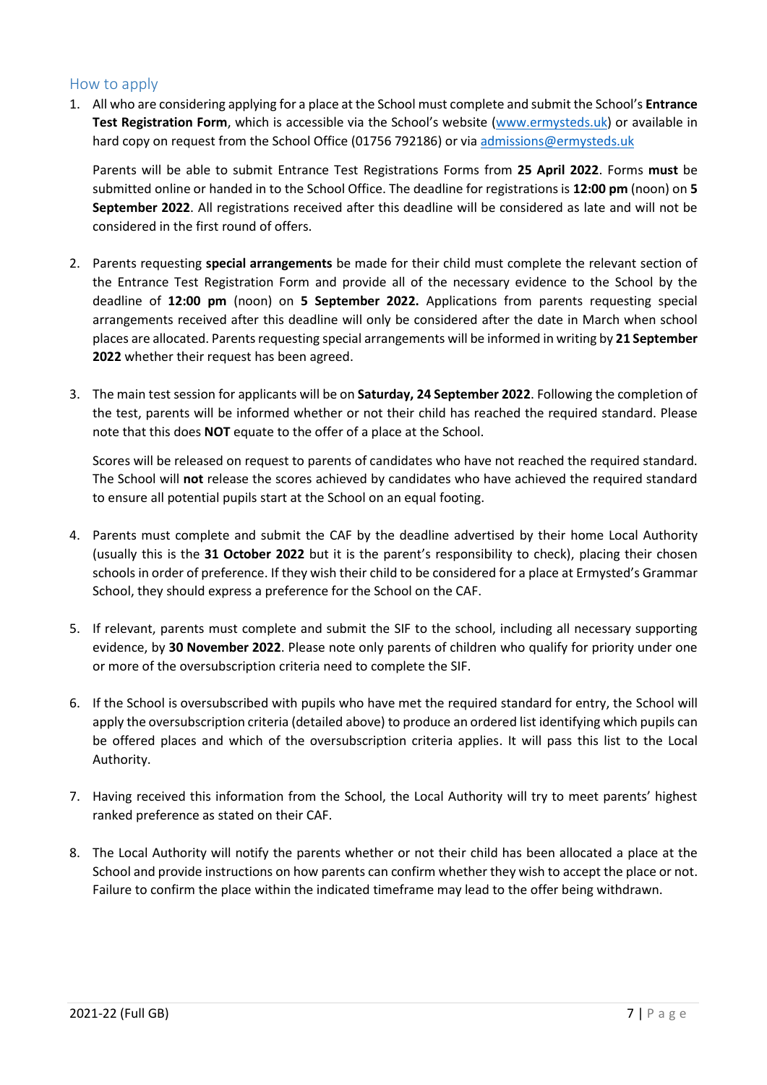## <span id="page-6-0"></span>How to apply

1. All who are considering applying for a place at the School must complete and submit the School's **Entrance Test Registration Form**, which is accessible via the School's website ([www.ermysteds.uk\)](http://www.ermysteds.co.uk/) or available in hard copy on request from the School Office (01756 792186) or via [admissions@ermysteds.uk](mailto:admissions@ermysteds.n-yorks.sch.uk)

Parents will be able to submit Entrance Test Registrations Forms from **25 April 2022**. Forms **must** be submitted online or handed in to the School Office. The deadline for registrations is **12:00 pm** (noon) on **5 September 2022**. All registrations received after this deadline will be considered as late and will not be considered in the first round of offers.

- 2. Parents requesting **special arrangements** be made for their child must complete the relevant section of the Entrance Test Registration Form and provide all of the necessary evidence to the School by the deadline of **12:00 pm** (noon) on **5 September 2022.** Applications from parents requesting special arrangements received after this deadline will only be considered after the date in March when school places are allocated. Parents requesting special arrangements will be informed in writing by **21 September 2022** whether their request has been agreed.
- 3. The main test session for applicants will be on **Saturday, 24 September 2022**. Following the completion of the test, parents will be informed whether or not their child has reached the required standard. Please note that this does **NOT** equate to the offer of a place at the School.

Scores will be released on request to parents of candidates who have not reached the required standard. The School will **not** release the scores achieved by candidates who have achieved the required standard to ensure all potential pupils start at the School on an equal footing.

- 4. Parents must complete and submit the CAF by the deadline advertised by their home Local Authority (usually this is the **31 October 2022** but it is the parent's responsibility to check), placing their chosen schools in order of preference. If they wish their child to be considered for a place at Ermysted's Grammar School, they should express a preference for the School on the CAF.
- 5. If relevant, parents must complete and submit the SIF to the school, including all necessary supporting evidence, by **30 November 2022**. Please note only parents of children who qualify for priority under one or more of the oversubscription criteria need to complete the SIF.
- 6. If the School is oversubscribed with pupils who have met the required standard for entry, the School will apply the oversubscription criteria (detailed above) to produce an ordered list identifying which pupils can be offered places and which of the oversubscription criteria applies. It will pass this list to the Local Authority.
- 7. Having received this information from the School, the Local Authority will try to meet parents' highest ranked preference as stated on their CAF.
- 8. The Local Authority will notify the parents whether or not their child has been allocated a place at the School and provide instructions on how parents can confirm whether they wish to accept the place or not. Failure to confirm the place within the indicated timeframe may lead to the offer being withdrawn.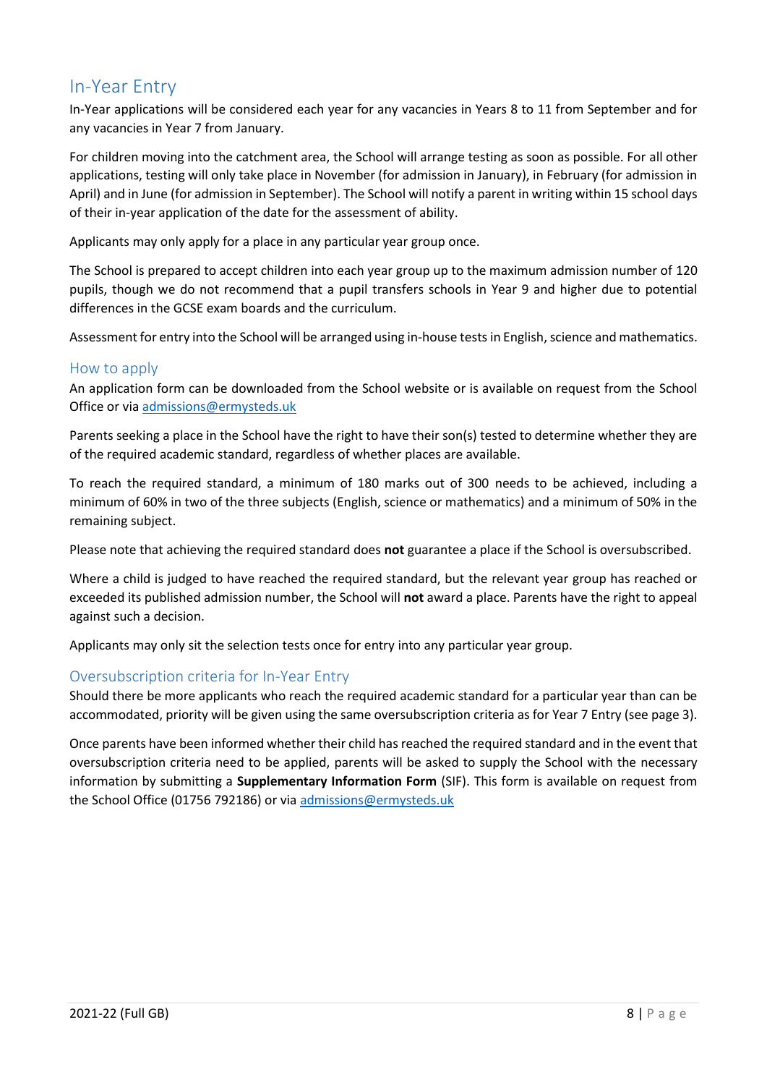## <span id="page-7-0"></span>In-Year Entry

In-Year applications will be considered each year for any vacancies in Years 8 to 11 from September and for any vacancies in Year 7 from January.

For children moving into the catchment area, the School will arrange testing as soon as possible. For all other applications, testing will only take place in November (for admission in January), in February (for admission in April) and in June (for admission in September). The School will notify a parent in writing within 15 school days of their in-year application of the date for the assessment of ability.

Applicants may only apply for a place in any particular year group once.

The School is prepared to accept children into each year group up to the maximum admission number of 120 pupils, though we do not recommend that a pupil transfers schools in Year 9 and higher due to potential differences in the GCSE exam boards and the curriculum.

Assessment for entry into the School will be arranged using in-house tests in English, science and mathematics.

### <span id="page-7-1"></span>How to apply

An application form can be downloaded from the School website or is available on request from the School Office or vi[a admissions@ermysteds.uk](mailto:admissions@ermysteds.n-yorks.sch.uk) 

Parents seeking a place in the School have the right to have their son(s) tested to determine whether they are of the required academic standard, regardless of whether places are available.

To reach the required standard, a minimum of 180 marks out of 300 needs to be achieved, including a minimum of 60% in two of the three subjects (English, science or mathematics) and a minimum of 50% in the remaining subject.

Please note that achieving the required standard does **not** guarantee a place if the School is oversubscribed.

Where a child is judged to have reached the required standard, but the relevant year group has reached or exceeded its published admission number, the School will **not** award a place. Parents have the right to appeal against such a decision.

Applicants may only sit the selection tests once for entry into any particular year group.

### <span id="page-7-2"></span>Oversubscription criteria for In-Year Entry

Should there be more applicants who reach the required academic standard for a particular year than can be accommodated, priority will be given using the same oversubscription criteria as for Year 7 Entry (see page 3).

Once parents have been informed whether their child has reached the required standard and in the event that oversubscription criteria need to be applied, parents will be asked to supply the School with the necessary information by submitting a **Supplementary Information Form** (SIF). This form is available on request from the School Office (01756 792186) or via [admissions@ermysteds.uk](mailto:admissions@ermysteds.n-yorks.sch.uk)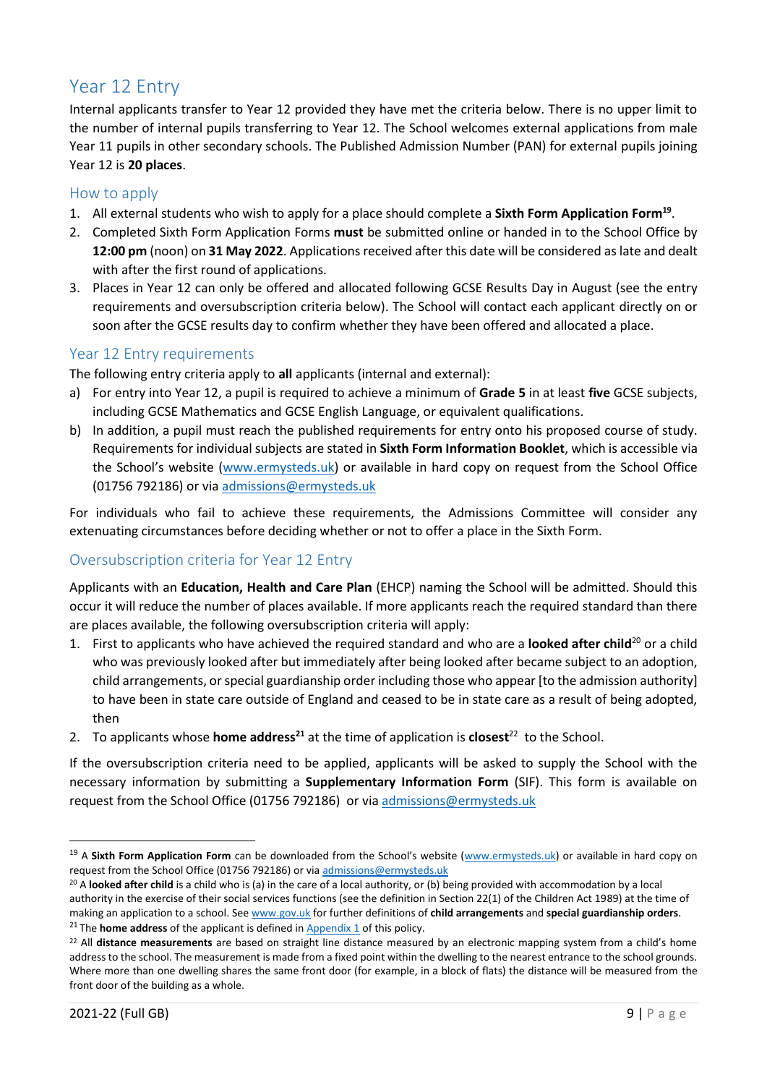# <span id="page-8-0"></span>Year 12 Entry

Internal applicants transfer to Year 12 provided they have met the criteria below. There is no upper limit to the number of internal pupils transferring to Year 12. The School welcomes external applications from male Year 11 pupils in other secondary schools. The Published Admission Number (PAN) for external pupils joining Year 12 is **20 places**.

### <span id="page-8-1"></span>How to apply

- 1. All external students who wish to apply for a place should complete a **Sixth Form Application Form<sup>19</sup>** .
- 2. Completed Sixth Form Application Forms **must** be submitted online or handed in to the School Office by **12:00 pm** (noon) on **31 May 2022**. Applications received after this date will be considered as late and dealt with after the first round of applications.
- 3. Places in Year 12 can only be offered and allocated following GCSE Results Day in August (see the entry requirements and oversubscription criteria below). The School will contact each applicant directly on or soon after the GCSE results day to confirm whether they have been offered and allocated a place.

### <span id="page-8-2"></span>Year 12 Entry requirements

The following entry criteria apply to **all** applicants (internal and external):

- a) For entry into Year 12, a pupil is required to achieve a minimum of **Grade 5** in at least **five** GCSE subjects, including GCSE Mathematics and GCSE English Language, or equivalent qualifications.
- b) In addition, a pupil must reach the published requirements for entry onto his proposed course of study. Requirements for individual subjects are stated in **Sixth Form Information Booklet**, which is accessible via the School's website ([www.ermysteds.uk\)](http://www.ermysteds.uk/) or available in hard copy on request from the School Office (01756 792186) or via [admissions@ermysteds.uk](mailto:admissions@ermysteds.uk)

For individuals who fail to achieve these requirements, the Admissions Committee will consider any extenuating circumstances before deciding whether or not to offer a place in the Sixth Form.

## <span id="page-8-3"></span>Oversubscription criteria for Year 12 Entry

Applicants with an **Education, Health and Care Plan** (EHCP) naming the School will be admitted. Should this occur it will reduce the number of places available. If more applicants reach the required standard than there are places available, the following oversubscription criteria will apply:

- 1. First to applicants who have achieved the required standard and who are a **looked after child**<sup>20</sup> or a child who was previously looked after but immediately after being looked after became subject to an adoption, child arrangements, or special guardianship order including those who appear [to the admission authority] to have been in state care outside of England and ceased to be in state care as a result of being adopted, then
- 2. To applicants whose **home address**<sup>21</sup> at the time of application is **closest**<sup>22</sup> to the School.

If the oversubscription criteria need to be applied, applicants will be asked to supply the School with the necessary information by submitting a **Supplementary Information Form** (SIF). This form is available on request from the School Office (01756 792186) or vi[a admissions@ermysteds.uk](mailto:admissions@ermysteds.uk)

<sup>&</sup>lt;sup>19</sup> A Sixth Form Application Form can be downloaded from the School's website ([www.ermysteds.uk\)](http://www.ermysteds.uk/) or available in hard copy on request from the School Office (01756 792186) or vi[a admissions@ermysteds.uk](mailto:admissions@ermysteds.uk)

<sup>&</sup>lt;sup>20</sup> A looked after child is a child who is (a) in the care of a local authority, or (b) being provided with accommodation by a local authority in the exercise of their social services functions (see the definition in Section 22(1) of the Children Act 1989) at the time of making an application to a school. Se[e www.gov.uk](https://www.gov.uk/government/publications/school-admissions-code--2) for further definitions of **child arrangements** and **special guardianship orders**. <sup>21</sup> The **home address** of the applicant is defined in **Appendix 1** of this policy.

<sup>22</sup> All **distance measurements** are based on straight line distance measured by an electronic mapping system from a child's home address to the school. The measurement is made from a fixed point within the dwelling to the nearest entrance to the school grounds. Where more than one dwelling shares the same front door (for example, in a block of flats) the distance will be measured from the front door of the building as a whole.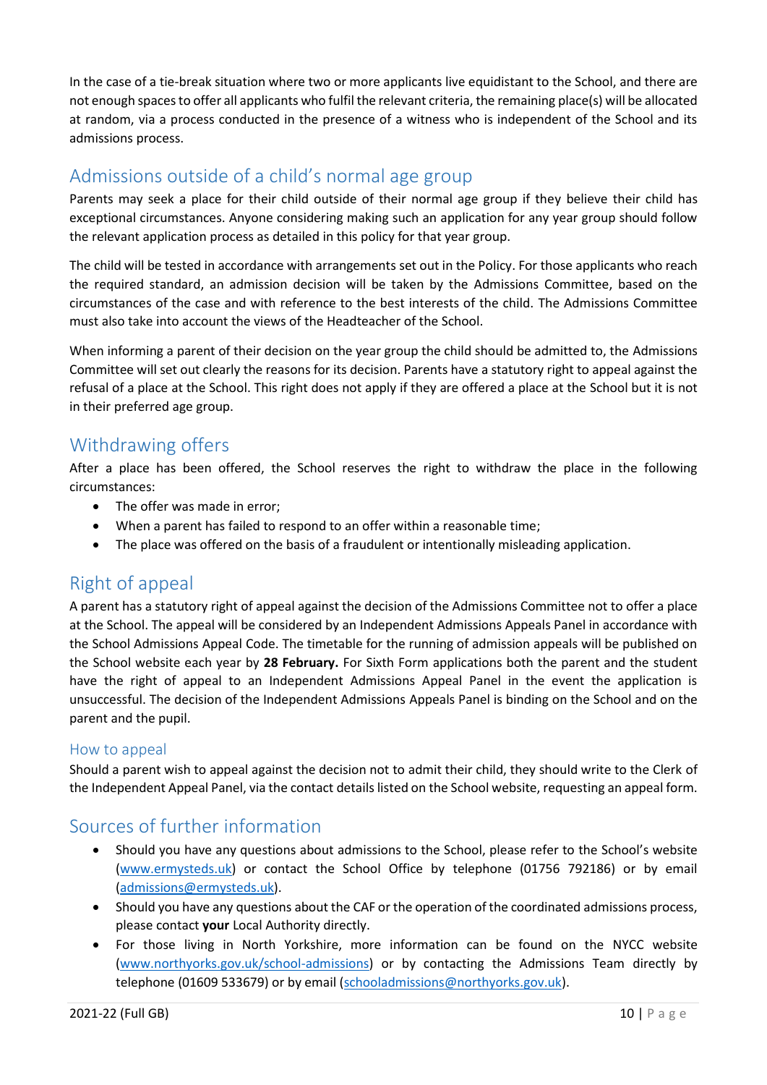In the case of a tie-break situation where two or more applicants live equidistant to the School, and there are not enough spaces to offer all applicants who fulfil the relevant criteria, the remaining place(s) will be allocated at random, via a process conducted in the presence of a witness who is independent of the School and its admissions process.

# <span id="page-9-0"></span>Admissions outside of a child's normal age group

Parents may seek a place for their child outside of their normal age group if they believe their child has exceptional circumstances. Anyone considering making such an application for any year group should follow the relevant application process as detailed in this policy for that year group.

The child will be tested in accordance with arrangements set out in the Policy. For those applicants who reach the required standard, an admission decision will be taken by the Admissions Committee, based on the circumstances of the case and with reference to the best interests of the child. The Admissions Committee must also take into account the views of the Headteacher of the School.

When informing a parent of their decision on the year group the child should be admitted to, the Admissions Committee will set out clearly the reasons for its decision. Parents have a statutory right to appeal against the refusal of a place at the School. This right does not apply if they are offered a place at the School but it is not in their preferred age group.

## <span id="page-9-1"></span>Withdrawing offers

After a place has been offered, the School reserves the right to withdraw the place in the following circumstances:

- The offer was made in error;
- When a parent has failed to respond to an offer within a reasonable time;
- The place was offered on the basis of a fraudulent or intentionally misleading application.

# <span id="page-9-2"></span>Right of appeal

A parent has a statutory right of appeal against the decision of the Admissions Committee not to offer a place at the School. The appeal will be considered by an Independent Admissions Appeals Panel in accordance with the School Admissions Appeal Code. The timetable for the running of admission appeals will be published on the School website each year by **28 February.** For Sixth Form applications both the parent and the student have the right of appeal to an Independent Admissions Appeal Panel in the event the application is unsuccessful. The decision of the Independent Admissions Appeals Panel is binding on the School and on the parent and the pupil.

## <span id="page-9-3"></span>How to appeal

Should a parent wish to appeal against the decision not to admit their child, they should write to the Clerk of the Independent Appeal Panel, via the contact details listed on the School website, requesting an appeal form.

## <span id="page-9-4"></span>Sources of further information

- Should you have any questions about admissions to the School, please refer to the School's website [\(www.ermysteds.uk\)](http://www.ermysteds.uk/) or contact the School Office by telephone (01756 792186) or by email [\(admissions@ermysteds.uk\)](mailto:admissions@ermysteds.uk).
- Should you have any questions about the CAF or the operation of the coordinated admissions process, please contact **your** Local Authority directly.
- For those living in North Yorkshire, more information can be found on the NYCC website [\(www.northyorks.gov.uk/school-admissions\)](https://www.northyorks.gov.uk/school-admissions) or by contacting the Admissions Team directly by telephone (01609 533679) or by email [\(schooladmissions@northyorks.gov.uk\)](mailto:schooladmissions@northyorks.gov.uk).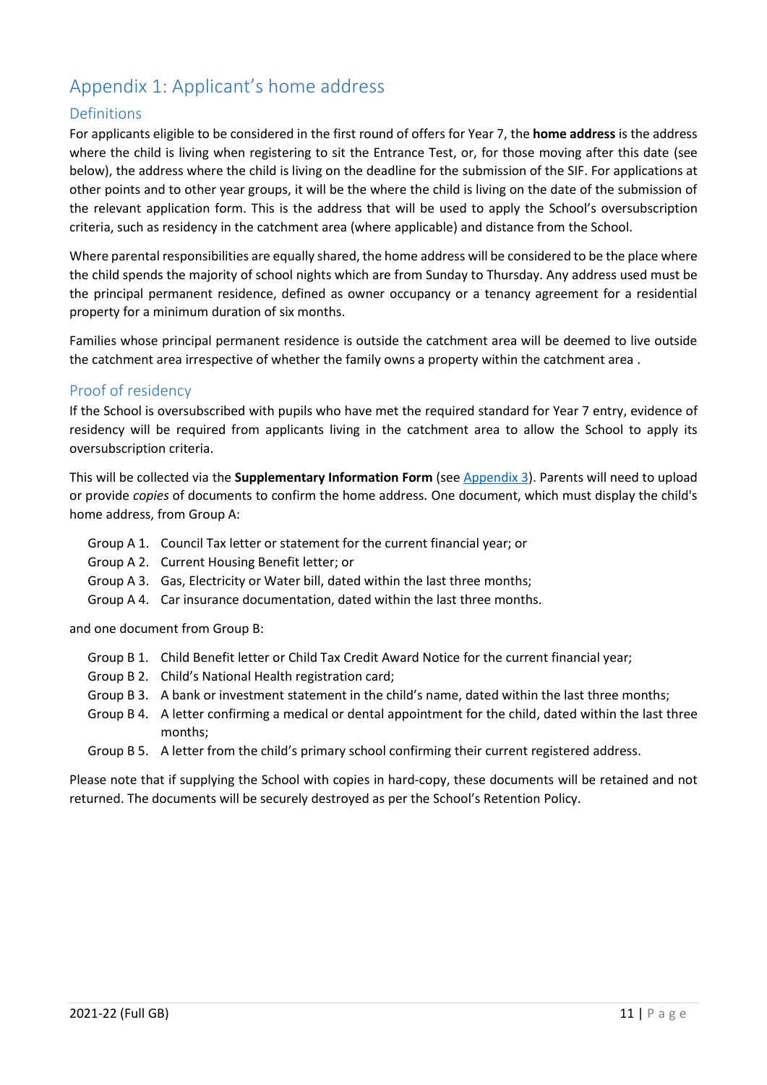# <span id="page-10-0"></span>Appendix 1: Applicant's home address

### <span id="page-10-1"></span>Definitions

For applicants eligible to be considered in the first round of offers for Year 7, the **home address** is the address where the child is living when registering to sit the Entrance Test, or, for those moving after this date (see below), the address where the child is living on the deadline for the submission of the SIF. For applications at other points and to other year groups, it will be the where the child is living on the date of the submission of the relevant application form. This is the address that will be used to apply the School's oversubscription criteria, such as residency in the catchment area (where applicable) and distance from the School.

Where parental responsibilities are equally shared, the home address will be considered to be the place where the child spends the majority of school nights which are from Sunday to Thursday. Any address used must be the principal permanent residence, defined as owner occupancy or a tenancy agreement for a residential property for a minimum duration of six months.

Families whose principal permanent residence is outside the catchment area will be deemed to live outside the catchment area irrespective of whether the family owns a property within the catchment area .

### <span id="page-10-2"></span>Proof of residency

If the School is oversubscribed with pupils who have met the required standard for Year 7 entry, evidence of residency will be required from applicants living in the catchment area to allow the School to apply its oversubscription criteria.

This will be collected via the **Supplementary Information Form** (se[e Appendix 3\)](#page-13-0). Parents will need to upload or provide *copies* of documents to confirm the home address. One document, which must display the child's home address, from Group A:

- Group A 1. Council Tax letter or statement for the current financial year; or
- Group A 2. Current Housing Benefit letter; or
- Group A 3. Gas, Electricity or Water bill, dated within the last three months;
- Group A 4. Car insurance documentation, dated within the last three months.

and one document from Group B:

- Group B 1. Child Benefit letter or Child Tax Credit Award Notice for the current financial year;
- Group B 2. Child's National Health registration card;
- Group B 3. A bank or investment statement in the child's name, dated within the last three months;
- Group B 4. A letter confirming a medical or dental appointment for the child, dated within the last three months;
- Group B 5. A letter from the child's primary school confirming their current registered address.

Please note that if supplying the School with copies in hard-copy, these documents will be retained and not returned. The documents will be securely destroyed as per the School's Retention Policy.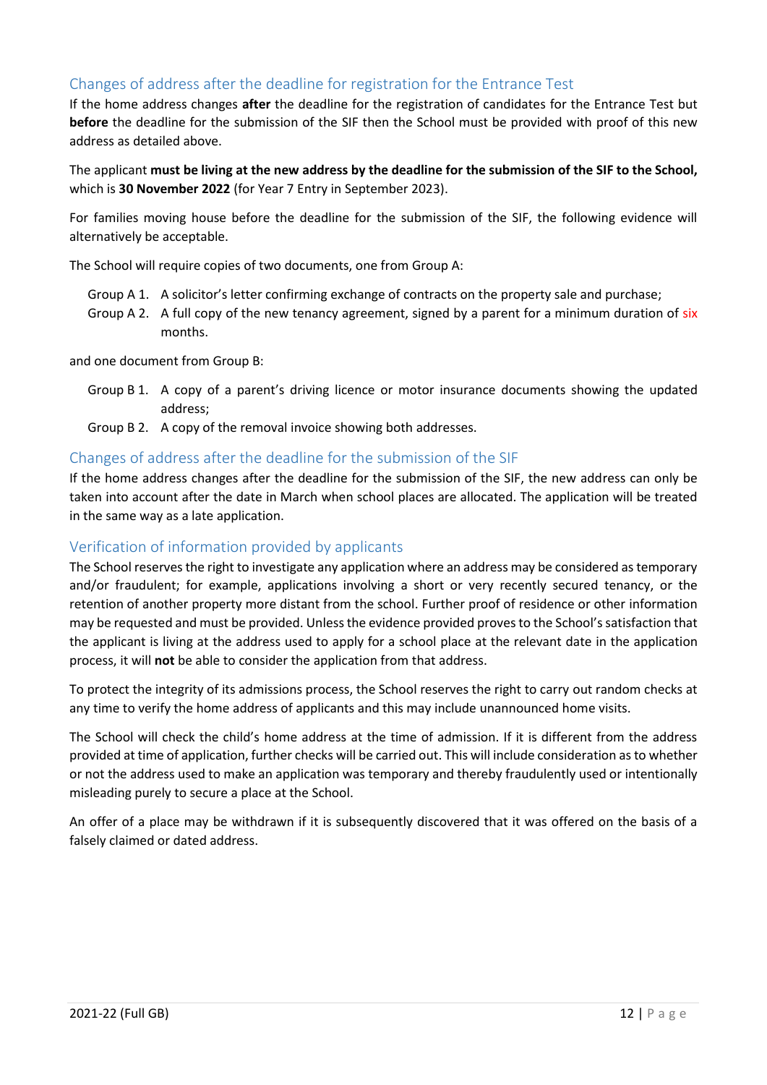## <span id="page-11-0"></span>Changes of address after the deadline for registration for the Entrance Test

If the home address changes **after** the deadline for the registration of candidates for the Entrance Test but **before** the deadline for the submission of the SIF then the School must be provided with proof of this new address as detailed above.

The applicant **must be living at the new address by the deadline for the submission of the SIF to the School,**  which is **30 November 2022** (for Year 7 Entry in September 2023).

For families moving house before the deadline for the submission of the SIF, the following evidence will alternatively be acceptable.

The School will require copies of two documents, one from Group A:

- Group A 1. A solicitor's letter confirming exchange of contracts on the property sale and purchase;
- Group A 2. A full copy of the new tenancy agreement, signed by a parent for a minimum duration of six months.

and one document from Group B:

- Group B 1. A copy of a parent's driving licence or motor insurance documents showing the updated address;
- Group B 2. A copy of the removal invoice showing both addresses.

### <span id="page-11-1"></span>Changes of address after the deadline for the submission of the SIF

If the home address changes after the deadline for the submission of the SIF, the new address can only be taken into account after the date in March when school places are allocated. The application will be treated in the same way as a late application.

### <span id="page-11-2"></span>Verification of information provided by applicants

The School reserves the right to investigate any application where an address may be considered as temporary and/or fraudulent; for example, applications involving a short or very recently secured tenancy, or the retention of another property more distant from the school. Further proof of residence or other information may be requested and must be provided. Unless the evidence provided proves to the School's satisfaction that the applicant is living at the address used to apply for a school place at the relevant date in the application process, it will **not** be able to consider the application from that address.

To protect the integrity of its admissions process, the School reserves the right to carry out random checks at any time to verify the home address of applicants and this may include unannounced home visits.

The School will check the child's home address at the time of admission. If it is different from the address provided at time of application, further checks will be carried out. This will include consideration as to whether or not the address used to make an application was temporary and thereby fraudulently used or intentionally misleading purely to secure a place at the School.

An offer of a place may be withdrawn if it is subsequently discovered that it was offered on the basis of a falsely claimed or dated address.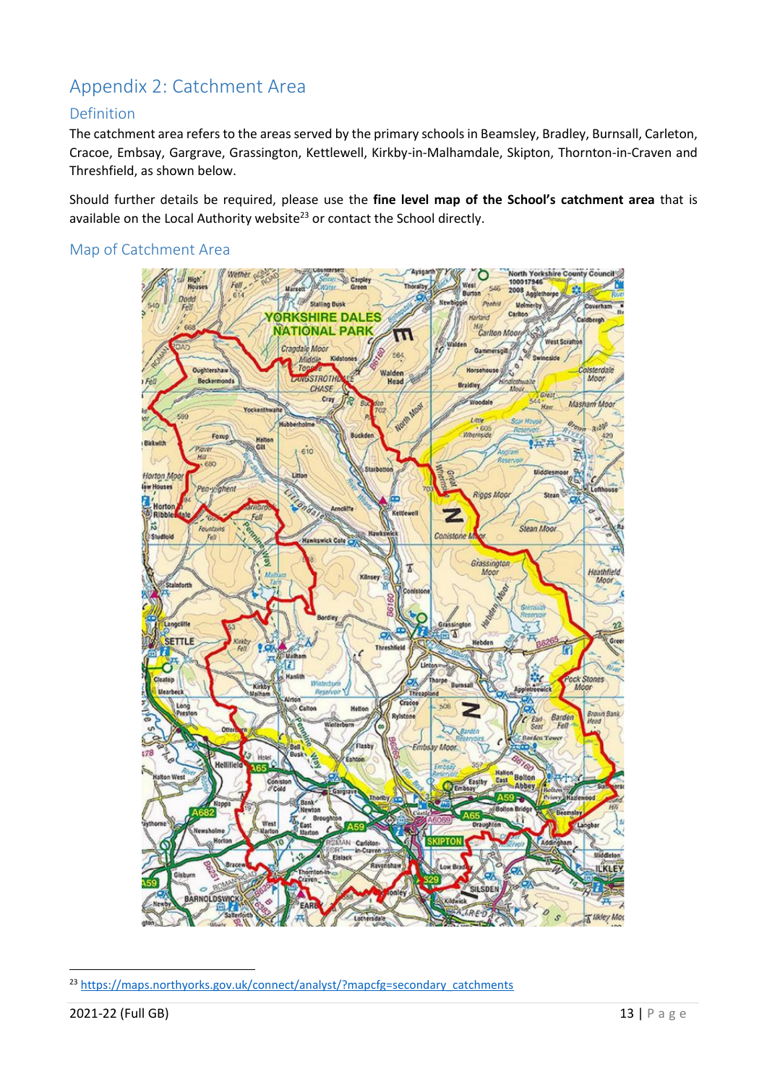# <span id="page-12-0"></span>Appendix 2: Catchment Area

## <span id="page-12-1"></span>Definition

The catchment area refers to the areas served by the primary schools in Beamsley, Bradley, Burnsall, Carleton, Cracoe, Embsay, Gargrave, Grassington, Kettlewell, Kirkby-in-Malhamdale, Skipton, Thornton-in-Craven and Threshfield, as shown below.

Should further details be required, please use the **fine level map of the School's catchment area** that is available on the Local Authority website<sup>23</sup> or contact the School directly.

## <span id="page-12-2"></span>Map of Catchment Area



<sup>&</sup>lt;sup>23</sup> [https://maps.northyorks.gov.uk/connect/analyst/?mapcfg=secondary\\_catchments](https://maps.northyorks.gov.uk/connect/analyst/?mapcfg=secondary_catchments)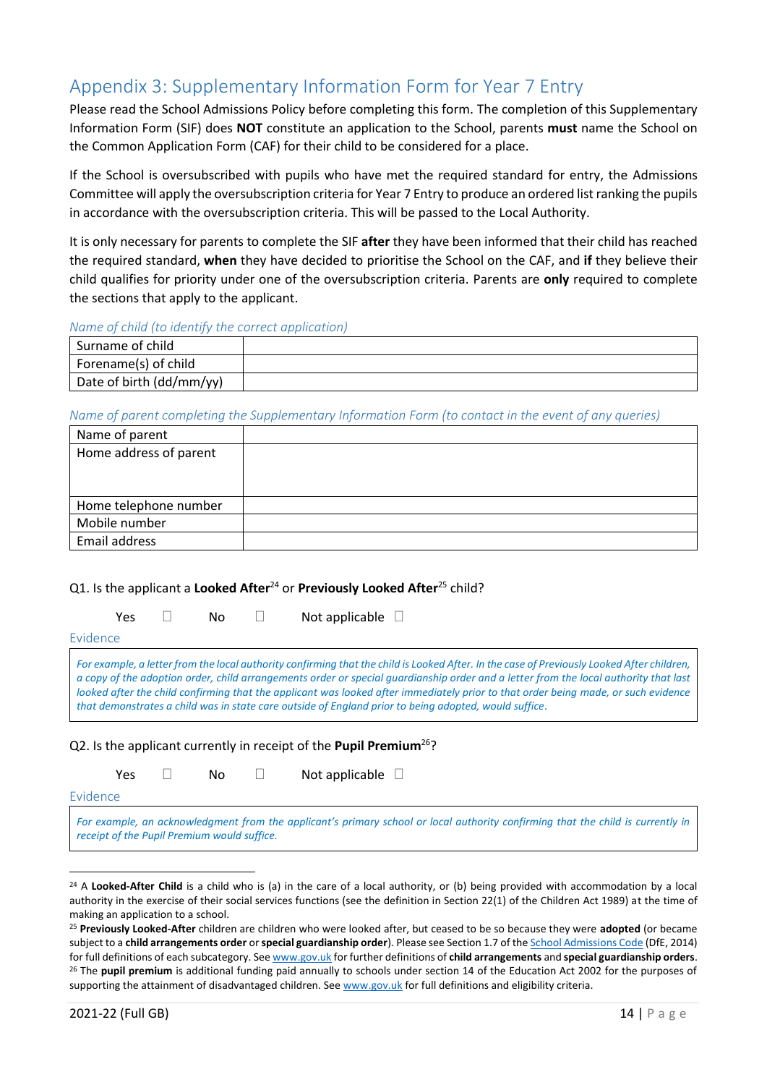# <span id="page-13-0"></span>Appendix 3: Supplementary Information Form for Year 7 Entry

Please read the School Admissions Policy before completing this form. The completion of this Supplementary Information Form (SIF) does **NOT** constitute an application to the School, parents **must** name the School on the Common Application Form (CAF) for their child to be considered for a place.

If the School is oversubscribed with pupils who have met the required standard for entry, the Admissions Committee will apply the oversubscription criteria for Year 7 Entry to produce an ordered list ranking the pupils in accordance with the oversubscription criteria. This will be passed to the Local Authority.

It is only necessary for parents to complete the SIF **after** they have been informed that their child has reached the required standard, **when** they have decided to prioritise the School on the CAF, and **if** they believe their child qualifies for priority under one of the oversubscription criteria. Parents are **only** required to complete the sections that apply to the applicant.

#### *Name of child (to identify the correct application)*

| Surname of child         |  |
|--------------------------|--|
| Forename(s) of child     |  |
| Date of birth (dd/mm/yy) |  |

#### *Name of parent completing the Supplementary Information Form (to contact in the event of any queries)*

| Name of parent         |  |
|------------------------|--|
| Home address of parent |  |
|                        |  |
|                        |  |
| Home telephone number  |  |
| Mobile number          |  |
| Email address          |  |

#### Q1. Is the applicant a **Looked After**<sup>24</sup> or **Previously Looked After**<sup>25</sup> child?

Yes  $\square$  No  $\square$  Not applicable  $\square$ 

Evidence

*For example, a letter from the local authority confirming that the child is Looked After. In the case of Previously Looked After children, a copy of the adoption order, child arrangements order or special guardianship order and a letter from the local authority that last looked after the child confirming that the applicant was looked after immediately prior to that order being made, or such evidence that demonstrates a child was in state care outside of England prior to being adopted, would suffice.*

#### Q2. Is the applicant currently in receipt of the **Pupil Premium**<sup>26</sup>?

Yes  $\square$  No  $\square$  Not applicable  $\square$ 

Evidence

*For example, an acknowledgment from the applicant's primary school or local authority confirming that the child is currently in receipt of the Pupil Premium would suffice.*

<sup>&</sup>lt;sup>24</sup> A **Looked-After Child** is a child who is (a) in the care of a local authority, or (b) being provided with accommodation by a local authority in the exercise of their social services functions (see the definition in Section 22(1) of the Children Act 1989) at the time of making an application to a school.

<sup>25</sup> **Previously Looked-After** children are children who were looked after, but ceased to be so because they were **adopted** (or became subject to a **child arrangements order** or **special guardianship order**). Please see Section 1.7 of th[e School Admissions Code](https://www.gov.uk/government/publications/school-admissions-code--2) (DfE, 2014) for full definitions of each subcategory. Se[e www.gov.uk](https://www.gov.uk/government/publications/school-admissions-code--2) for further definitions of **child arrangements** and **special guardianship orders**. <sup>26</sup> The **pupil premium** is additional funding paid annually to schools under section 14 of the Education Act 2002 for the purposes of supporting the attainment of disadvantaged children. Se[e www.gov.uk](http://www.gov.uk/) for full definitions and eligibility criteria.